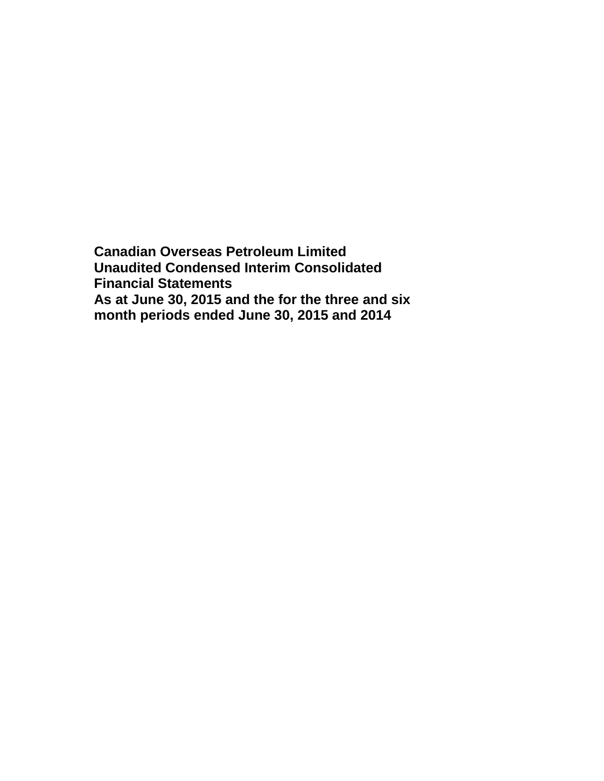**Canadian Overseas Petroleum Limited Unaudited Condensed Interim Consolidated Financial Statements As at June 30, 2015 and the for the three and six month periods ended June 30, 2015 and 2014**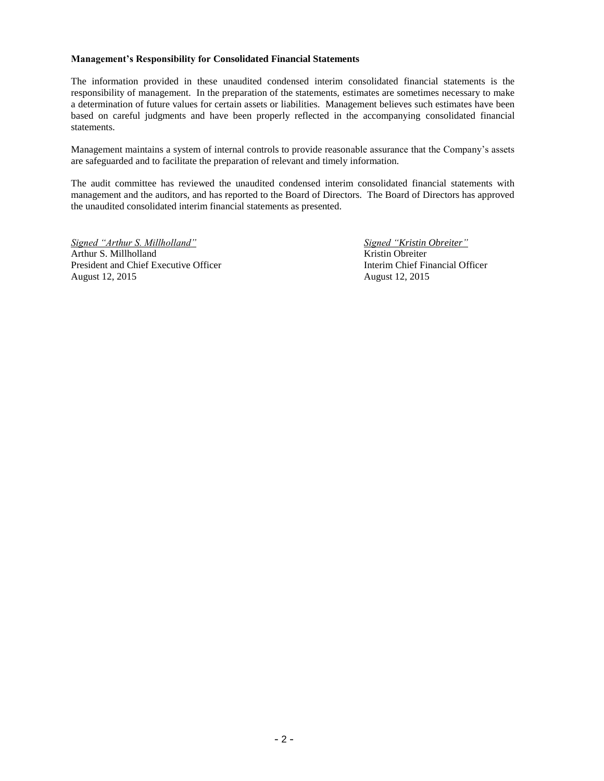#### **Management's Responsibility for Consolidated Financial Statements**

The information provided in these unaudited condensed interim consolidated financial statements is the responsibility of management. In the preparation of the statements, estimates are sometimes necessary to make a determination of future values for certain assets or liabilities. Management believes such estimates have been based on careful judgments and have been properly reflected in the accompanying consolidated financial statements.

Management maintains a system of internal controls to provide reasonable assurance that the Company's assets are safeguarded and to facilitate the preparation of relevant and timely information.

The audit committee has reviewed the unaudited condensed interim consolidated financial statements with management and the auditors, and has reported to the Board of Directors. The Board of Directors has approved the unaudited consolidated interim financial statements as presented.

*Signed "Arthur S. Millholland" Signed "Kristin Obreiter"* Arthur S. Millholland Kristin Obreiter President and Chief Executive Officer **Interim Chief Financial Officer Interim Chief Financial Officer** August 12, 2015 August 12, 2015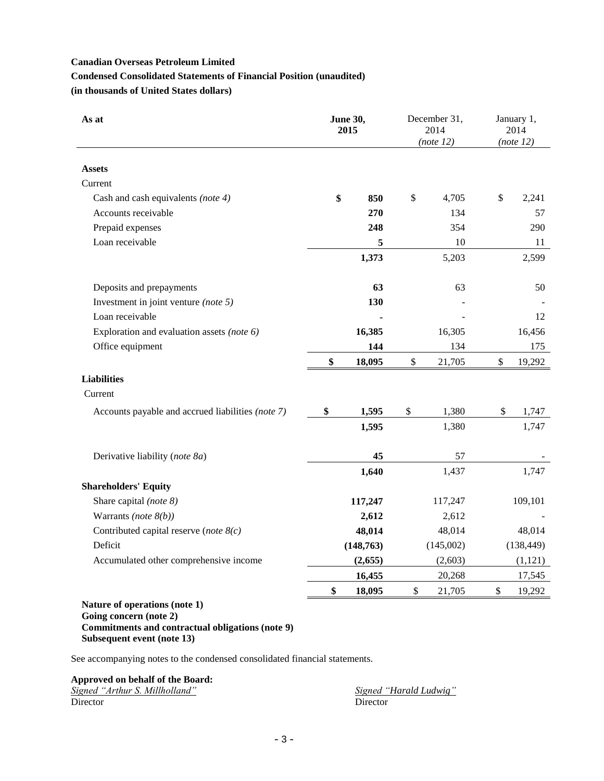# **Condensed Consolidated Statements of Financial Position (unaudited)**

**(in thousands of United States dollars)**

| As at                                             | <b>June 30,</b><br>2015 |              | December 31,<br>2014<br>(note 12) |               | January 1,<br>2014<br>(note 12) |
|---------------------------------------------------|-------------------------|--------------|-----------------------------------|---------------|---------------------------------|
| <b>Assets</b>                                     |                         |              |                                   |               |                                 |
| Current                                           |                         |              |                                   |               |                                 |
| Cash and cash equivalents (note 4)                | \$<br>850               | \$           | 4,705                             | \$            | 2,241                           |
| Accounts receivable                               | 270                     |              | 134                               |               | 57                              |
| Prepaid expenses                                  | 248                     |              | 354                               |               | 290                             |
| Loan receivable                                   | 5                       |              | 10                                |               | 11                              |
|                                                   | 1,373                   |              | 5,203                             |               | 2,599                           |
| Deposits and prepayments                          | 63                      |              | 63                                |               | 50                              |
| Investment in joint venture (note 5)              | 130                     |              |                                   |               |                                 |
| Loan receivable                                   |                         |              |                                   |               | 12                              |
| Exploration and evaluation assets (note 6)        | 16,385                  |              | 16,305                            |               | 16,456                          |
| Office equipment                                  | 144                     |              | 134                               |               | 175                             |
|                                                   | \$<br>18,095            | \$           | 21,705                            | $\mathcal{S}$ | 19,292                          |
| <b>Liabilities</b>                                |                         |              |                                   |               |                                 |
| Current                                           |                         |              |                                   |               |                                 |
| Accounts payable and accrued liabilities (note 7) | \$<br>1,595             | \$           | 1,380                             | \$            | 1,747                           |
|                                                   | 1,595                   |              | 1,380                             |               | 1,747                           |
| Derivative liability (note 8a)                    | 45                      |              | 57                                |               |                                 |
|                                                   | 1,640                   |              | 1,437                             |               | 1,747                           |
| <b>Shareholders' Equity</b>                       |                         |              |                                   |               |                                 |
| Share capital (note 8)                            | 117,247                 |              | 117,247                           |               | 109,101                         |
| Warrants (note $8(b)$ )                           | 2,612                   |              | 2,612                             |               |                                 |
| Contributed capital reserve (note $8(c)$ )        | 48,014                  |              | 48,014                            |               | 48,014                          |
| Deficit                                           | (148, 763)              |              | (145,002)                         |               | (138, 449)                      |
| Accumulated other comprehensive income            | (2,655)                 |              | (2,603)                           |               | (1,121)                         |
|                                                   | 16,455                  |              | 20,268                            |               | 17,545                          |
|                                                   | \$<br>18,095            | $\mathbb{S}$ | 21,705                            | \$            | 19,292                          |
| Nature of operations (note 1)                     |                         |              |                                   |               |                                 |

# **Going concern (note 2) Commitments and contractual obligations (note 9) Subsequent event (note 13)**

See accompanying notes to the condensed consolidated financial statements.

# **Approved on behalf of the Board:**

|          | Signed "Arthur S. Millholland" |  |
|----------|--------------------------------|--|
| Director |                                |  |

*Signed "Arthur S. Millholland" Signed "Harald Ludwig"* Director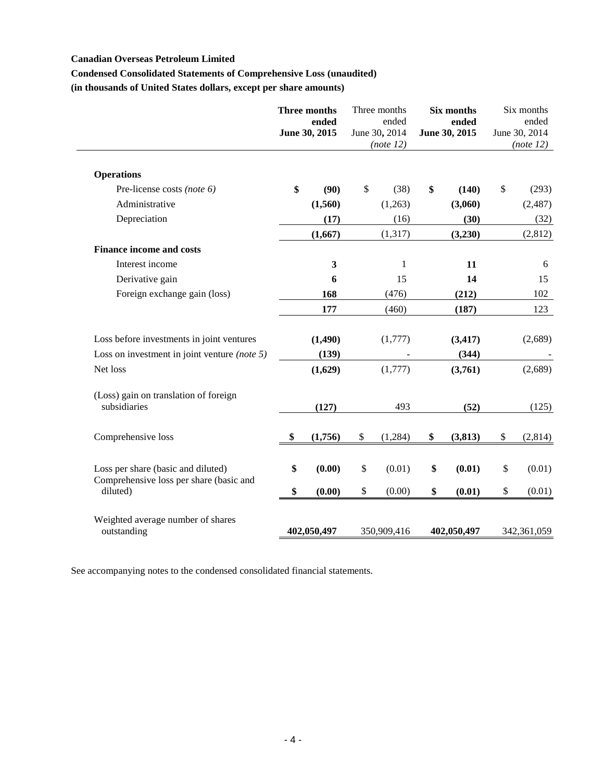# **Condensed Consolidated Statements of Comprehensive Loss (unaudited)**

**(in thousands of United States dollars, except per share amounts)**

|                                                       | Three months<br>ended<br>June 30, 2015 | Three months<br>ended<br>June 30, 2014<br>(note 12) | Six months<br>ended<br>June 30, 2015 | Six months<br>ended<br>June 30, 2014<br>(note 12) |
|-------------------------------------------------------|----------------------------------------|-----------------------------------------------------|--------------------------------------|---------------------------------------------------|
| <b>Operations</b>                                     |                                        |                                                     |                                      |                                                   |
| Pre-license costs (note 6)                            | \$<br>(90)                             | \$<br>(38)                                          | \$<br>(140)                          | \$<br>(293)                                       |
| Administrative                                        | (1,560)                                | (1,263)                                             | (3,060)                              | (2,487)                                           |
| Depreciation                                          | (17)                                   | (16)                                                | (30)                                 | (32)                                              |
|                                                       | (1,667)                                | (1,317)                                             | (3,230)                              | (2,812)                                           |
| <b>Finance income and costs</b>                       |                                        |                                                     |                                      |                                                   |
| Interest income                                       | $\mathbf{3}$                           | $\mathbf{1}$                                        | 11                                   | 6                                                 |
| Derivative gain                                       | 6                                      | 15                                                  | 14                                   | 15                                                |
| Foreign exchange gain (loss)                          | 168                                    | (476)                                               | (212)                                | 102                                               |
|                                                       | 177                                    | (460)                                               | (187)                                | 123                                               |
| Loss before investments in joint ventures             | (1, 490)                               | (1,777)                                             | (3, 417)                             | (2,689)                                           |
| Loss on investment in joint venture (note $5$ )       | (139)                                  |                                                     | (344)                                |                                                   |
| Net loss                                              | (1,629)                                | (1,777)                                             | (3,761)                              | (2,689)                                           |
| (Loss) gain on translation of foreign<br>subsidiaries | (127)                                  | 493                                                 | (52)                                 | (125)                                             |
| Comprehensive loss                                    | \$<br>(1,756)                          | \$<br>(1,284)                                       | \$<br>(3,813)                        | \$<br>(2,814)                                     |
| Loss per share (basic and diluted)                    | \$<br>(0.00)                           | \$<br>(0.01)                                        | \$<br>(0.01)                         | \$<br>(0.01)                                      |
| Comprehensive loss per share (basic and<br>diluted)   | \$<br>(0.00)                           | \$<br>(0.00)                                        | \$<br>(0.01)                         | \$<br>(0.01)                                      |
| Weighted average number of shares<br>outstanding      | 402,050,497                            | 350,909,416                                         | 402,050,497                          | 342,361,059                                       |

See accompanying notes to the condensed consolidated financial statements.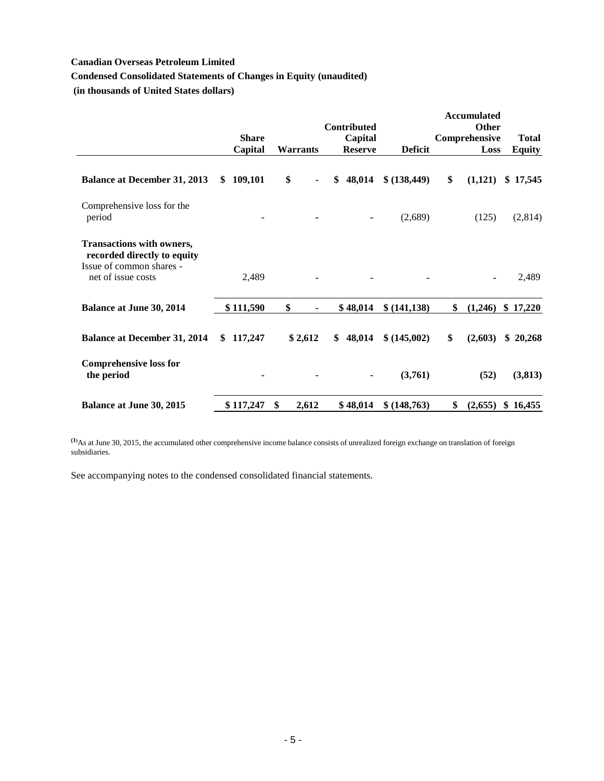# **Condensed Consolidated Statements of Changes in Equity (unaudited)**

**(in thousands of United States dollars)**

|                                                                                                                   |                         |             | <b>Contributed</b>        |                | <b>Accumulated</b><br>Other |                               |
|-------------------------------------------------------------------------------------------------------------------|-------------------------|-------------|---------------------------|----------------|-----------------------------|-------------------------------|
|                                                                                                                   | <b>Share</b><br>Capital | Warrants    | Capital<br><b>Reserve</b> | <b>Deficit</b> | Comprehensive<br>Loss       | <b>Total</b><br><b>Equity</b> |
| <b>Balance at December 31, 2013</b>                                                                               | 109,101<br>S.           | \$          | \$<br>48,014              | \$ (138, 449)  | \$<br>(1,121)               | \$17,545                      |
| Comprehensive loss for the<br>period                                                                              |                         | ٠           |                           | (2,689)        | (125)                       | (2,814)                       |
| <b>Transactions with owners,</b><br>recorded directly to equity<br>Issue of common shares -<br>net of issue costs | 2,489                   |             |                           |                |                             | 2,489                         |
| <b>Balance at June 30, 2014</b>                                                                                   | \$111,590               | \$          | \$48,014                  | \$(141, 138)   | \$<br>(1,246)               | \$17,220                      |
| <b>Balance at December 31, 2014</b>                                                                               | 117,247<br>\$           | \$2,612     | \$<br>48,014              | \$ (145,002)   | \$<br>(2,603)               | \$20,268                      |
| <b>Comprehensive loss for</b><br>the period                                                                       |                         |             |                           | (3,761)        | (52)                        | (3, 813)                      |
| <b>Balance at June 30, 2015</b>                                                                                   | \$117,247               | \$<br>2,612 | \$48,014                  | \$ (148, 763)  | \$<br>(2,655)               | \$16,455                      |

**(1)**As at June 30, 2015, the accumulated other comprehensive income balance consists of unrealized foreign exchange on translation of foreign subsidiaries.

See accompanying notes to the condensed consolidated financial statements.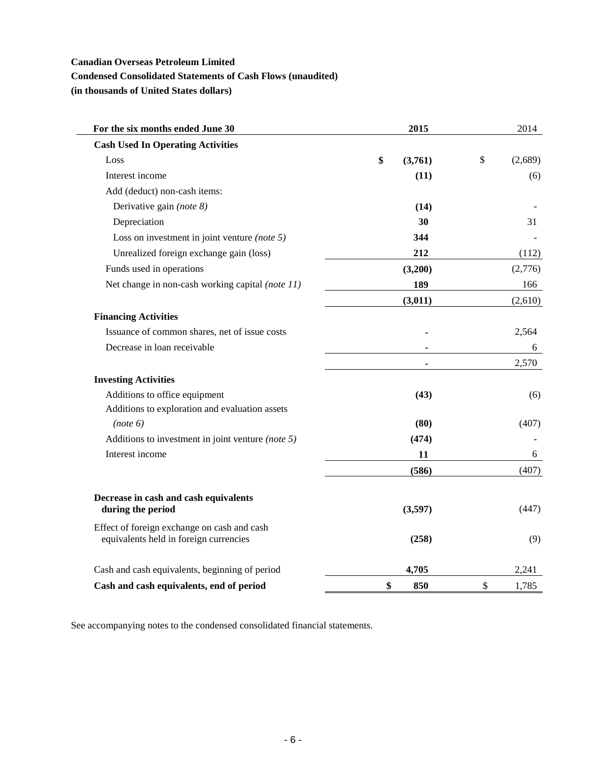# **Condensed Consolidated Statements of Cash Flows (unaudited)**

**(in thousands of United States dollars)**

| For the six months ended June 30                           | 2015          | 2014          |
|------------------------------------------------------------|---------------|---------------|
| <b>Cash Used In Operating Activities</b>                   |               |               |
| Loss                                                       | \$<br>(3,761) | \$<br>(2,689) |
| Interest income                                            | (11)          | (6)           |
| Add (deduct) non-cash items:                               |               |               |
| Derivative gain (note 8)                                   | (14)          |               |
| Depreciation                                               | 30            | 31            |
| Loss on investment in joint venture (note $5$ )            | 344           |               |
| Unrealized foreign exchange gain (loss)                    | 212           | (112)         |
| Funds used in operations                                   | (3,200)       | (2,776)       |
| Net change in non-cash working capital (note 11)           | 189           | 166           |
|                                                            | (3,011)       | (2,610)       |
| <b>Financing Activities</b>                                |               |               |
| Issuance of common shares, net of issue costs              |               | 2,564         |
| Decrease in loan receivable                                |               | 6             |
|                                                            |               | 2,570         |
| <b>Investing Activities</b>                                |               |               |
| Additions to office equipment                              | (43)          | (6)           |
| Additions to exploration and evaluation assets             |               |               |
| (note 6)                                                   | (80)          | (407)         |
| Additions to investment in joint venture (note $5$ )       | (474)         |               |
| Interest income                                            | 11            | 6             |
|                                                            | (586)         | (407)         |
|                                                            |               |               |
| Decrease in cash and cash equivalents<br>during the period | (3,597)       | (447)         |
| Effect of foreign exchange on cash and cash                |               |               |
| equivalents held in foreign currencies                     | (258)         | (9)           |
| Cash and cash equivalents, beginning of period             | 4,705         | 2,241         |
| Cash and cash equivalents, end of period                   | \$<br>850     | \$<br>1,785   |

See accompanying notes to the condensed consolidated financial statements.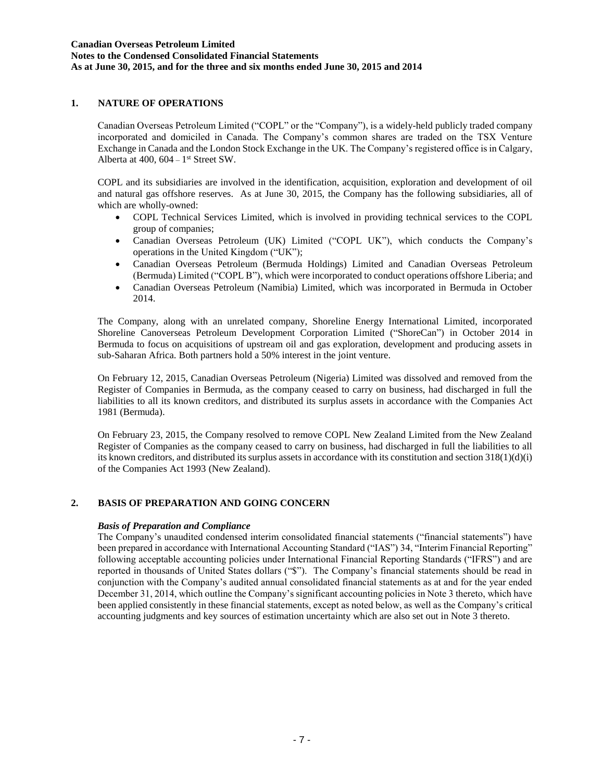# **1. NATURE OF OPERATIONS**

Canadian Overseas Petroleum Limited ("COPL" or the "Company"), is a widely-held publicly traded company incorporated and domiciled in Canada. The Company's common shares are traded on the TSX Venture Exchange in Canada and the London Stock Exchange in the UK. The Company's registered office is in Calgary, Alberta at  $400$ ,  $604 - 1$ <sup>st</sup> Street SW.

COPL and its subsidiaries are involved in the identification, acquisition, exploration and development of oil and natural gas offshore reserves. As at June 30, 2015, the Company has the following subsidiaries, all of which are wholly-owned:

- COPL Technical Services Limited, which is involved in providing technical services to the COPL group of companies;
- Canadian Overseas Petroleum (UK) Limited ("COPL UK"), which conducts the Company's operations in the United Kingdom ("UK");
- Canadian Overseas Petroleum (Bermuda Holdings) Limited and Canadian Overseas Petroleum (Bermuda) Limited ("COPL B"), which were incorporated to conduct operations offshore Liberia; and
- Canadian Overseas Petroleum (Namibia) Limited, which was incorporated in Bermuda in October 2014.

The Company, along with an unrelated company, Shoreline Energy International Limited, incorporated Shoreline Canoverseas Petroleum Development Corporation Limited ("ShoreCan") in October 2014 in Bermuda to focus on acquisitions of upstream oil and gas exploration, development and producing assets in sub-Saharan Africa. Both partners hold a 50% interest in the joint venture.

On February 12, 2015, Canadian Overseas Petroleum (Nigeria) Limited was dissolved and removed from the Register of Companies in Bermuda, as the company ceased to carry on business, had discharged in full the liabilities to all its known creditors, and distributed its surplus assets in accordance with the Companies Act 1981 (Bermuda).

On February 23, 2015, the Company resolved to remove COPL New Zealand Limited from the New Zealand Register of Companies as the company ceased to carry on business, had discharged in full the liabilities to all its known creditors, and distributed its surplus assets in accordance with its constitution and section  $318(1)(d)(i)$ of the Companies Act 1993 (New Zealand).

### **2. BASIS OF PREPARATION AND GOING CONCERN**

#### *Basis of Preparation and Compliance*

The Company's unaudited condensed interim consolidated financial statements ("financial statements") have been prepared in accordance with International Accounting Standard ("IAS") 34, "Interim Financial Reporting" following acceptable accounting policies under International Financial Reporting Standards ("IFRS") and are reported in thousands of United States dollars ("\$"). The Company's financial statements should be read in conjunction with the Company's audited annual consolidated financial statements as at and for the year ended December 31, 2014, which outline the Company's significant accounting policies in Note 3 thereto, which have been applied consistently in these financial statements, except as noted below, as well as the Company's critical accounting judgments and key sources of estimation uncertainty which are also set out in Note 3 thereto.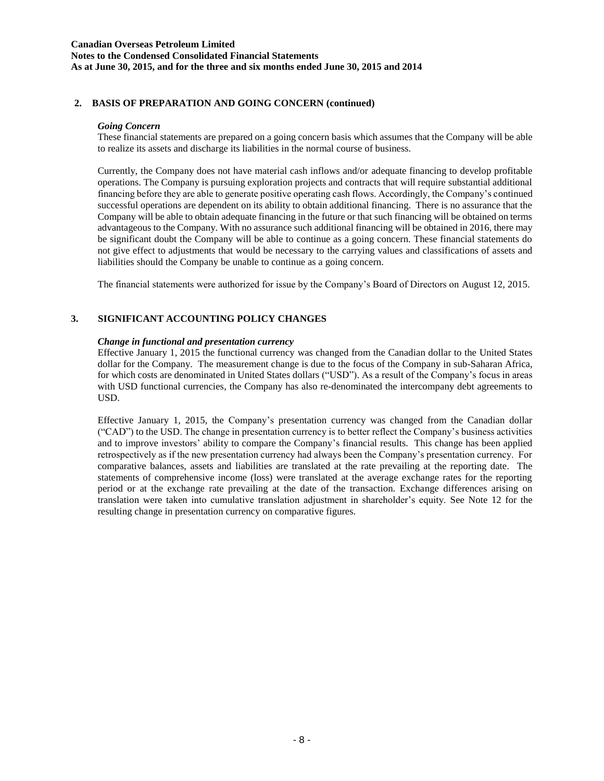#### **Canadian Overseas Petroleum Limited Notes to the Condensed Consolidated Financial Statements As at June 30, 2015, and for the three and six months ended June 30, 2015 and 2014**

## **2. BASIS OF PREPARATION AND GOING CONCERN (continued)**

#### *Going Concern*

These financial statements are prepared on a going concern basis which assumes that the Company will be able to realize its assets and discharge its liabilities in the normal course of business.

Currently, the Company does not have material cash inflows and/or adequate financing to develop profitable operations. The Company is pursuing exploration projects and contracts that will require substantial additional financing before they are able to generate positive operating cash flows. Accordingly, the Company's continued successful operations are dependent on its ability to obtain additional financing. There is no assurance that the Company will be able to obtain adequate financing in the future or that such financing will be obtained on terms advantageous to the Company. With no assurance such additional financing will be obtained in 2016, there may be significant doubt the Company will be able to continue as a going concern. These financial statements do not give effect to adjustments that would be necessary to the carrying values and classifications of assets and liabilities should the Company be unable to continue as a going concern.

The financial statements were authorized for issue by the Company's Board of Directors on August 12, 2015.

### **3. SIGNIFICANT ACCOUNTING POLICY CHANGES**

#### *Change in functional and presentation currency*

Effective January 1, 2015 the functional currency was changed from the Canadian dollar to the United States dollar for the Company. The measurement change is due to the focus of the Company in sub-Saharan Africa, for which costs are denominated in United States dollars ("USD"). As a result of the Company's focus in areas with USD functional currencies, the Company has also re-denominated the intercompany debt agreements to USD.

Effective January 1, 2015, the Company's presentation currency was changed from the Canadian dollar ("CAD") to the USD. The change in presentation currency is to better reflect the Company's business activities and to improve investors' ability to compare the Company's financial results. This change has been applied retrospectively as if the new presentation currency had always been the Company's presentation currency. For comparative balances, assets and liabilities are translated at the rate prevailing at the reporting date. The statements of comprehensive income (loss) were translated at the average exchange rates for the reporting period or at the exchange rate prevailing at the date of the transaction. Exchange differences arising on translation were taken into cumulative translation adjustment in shareholder's equity. See Note 12 for the resulting change in presentation currency on comparative figures.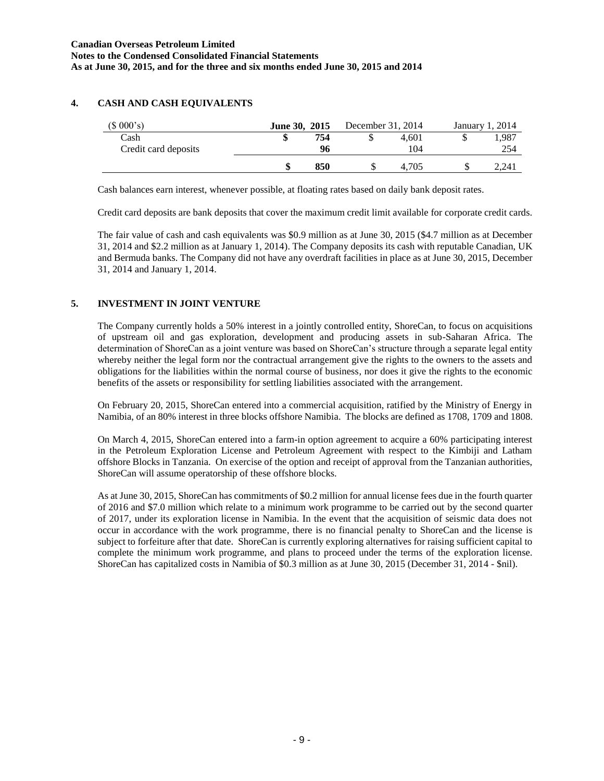## **4. CASH AND CASH EQUIVALENTS**

| (\$000's)            | June 30, 2015 |     | December 31, 2014 |       | January 1, 2014 |
|----------------------|---------------|-----|-------------------|-------|-----------------|
| Cash                 | ٨D            | 754 |                   | 4.601 | .987            |
| Credit card deposits |               | 96  |                   | 104   | 254             |
|                      |               | 850 | J.                | 4.705 | 2.241           |

Cash balances earn interest, whenever possible, at floating rates based on daily bank deposit rates.

Credit card deposits are bank deposits that cover the maximum credit limit available for corporate credit cards.

The fair value of cash and cash equivalents was \$0.9 million as at June 30, 2015 (\$4.7 million as at December 31, 2014 and \$2.2 million as at January 1, 2014). The Company deposits its cash with reputable Canadian, UK and Bermuda banks. The Company did not have any overdraft facilities in place as at June 30, 2015, December 31, 2014 and January 1, 2014.

# **5. INVESTMENT IN JOINT VENTURE**

The Company currently holds a 50% interest in a jointly controlled entity, ShoreCan, to focus on acquisitions of upstream oil and gas exploration, development and producing assets in sub-Saharan Africa. The determination of ShoreCan as a joint venture was based on ShoreCan's structure through a separate legal entity whereby neither the legal form nor the contractual arrangement give the rights to the owners to the assets and obligations for the liabilities within the normal course of business, nor does it give the rights to the economic benefits of the assets or responsibility for settling liabilities associated with the arrangement.

On February 20, 2015, ShoreCan entered into a commercial acquisition, ratified by the Ministry of Energy in Namibia, of an 80% interest in three blocks offshore Namibia. The blocks are defined as 1708, 1709 and 1808.

On March 4, 2015, ShoreCan entered into a farm-in option agreement to acquire a 60% participating interest in the Petroleum Exploration License and Petroleum Agreement with respect to the Kimbiji and Latham offshore Blocks in Tanzania. On exercise of the option and receipt of approval from the Tanzanian authorities, ShoreCan will assume operatorship of these offshore blocks.

As at June 30, 2015, ShoreCan has commitments of \$0.2 million for annual license fees due in the fourth quarter of 2016 and \$7.0 million which relate to a minimum work programme to be carried out by the second quarter of 2017, under its exploration license in Namibia. In the event that the acquisition of seismic data does not occur in accordance with the work programme, there is no financial penalty to ShoreCan and the license is subject to forfeiture after that date. ShoreCan is currently exploring alternatives for raising sufficient capital to complete the minimum work programme, and plans to proceed under the terms of the exploration license. ShoreCan has capitalized costs in Namibia of \$0.3 million as at June 30, 2015 (December 31, 2014 - \$nil).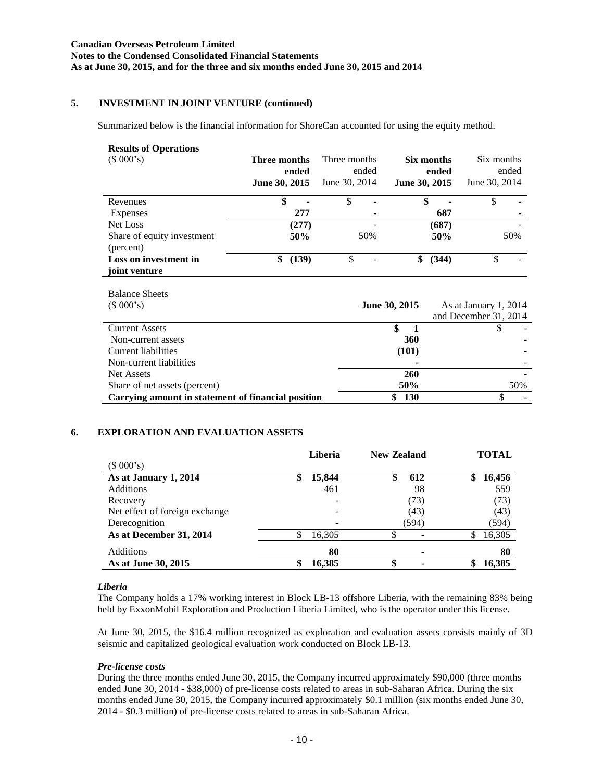# **5. INVESTMENT IN JOINT VENTURE (continued)**

Summarized below is the financial information for ShoreCan accounted for using the equity method.

#### **Results of Operations**

| (\$000's)                               | Three months<br>ended<br>June 30, 2015 | Three months<br>ended<br>June 30, 2014 | Six months<br>ended<br>June 30, 2015 | Six months<br>ended<br>June 30, 2014 |
|-----------------------------------------|----------------------------------------|----------------------------------------|--------------------------------------|--------------------------------------|
| Revenues                                | \$                                     | \$                                     | \$                                   |                                      |
| Expenses                                | 277                                    |                                        | 687                                  |                                      |
| Net Loss                                | (277)                                  |                                        | (687)                                |                                      |
| Share of equity investment<br>(percent) | 50%                                    | 50%                                    | 50%                                  | 50%                                  |
| Loss on investment in<br>joint venture  | (139)                                  | \$                                     | (344)                                |                                      |

| <b>Balance Sheets</b><br>(\$000's)                 | June 30, 2015 | As at January 1, 2014<br>and December 31, 2014 |
|----------------------------------------------------|---------------|------------------------------------------------|
| <b>Current Assets</b>                              | S             |                                                |
| Non-current assets                                 | 360           |                                                |
| Current liabilities                                | (101)         |                                                |
| Non-current liabilities                            |               |                                                |
| <b>Net Assets</b>                                  | 260           |                                                |
| Share of net assets (percent)                      | 50%           | 50%                                            |
| Carrying amount in statement of financial position | <b>130</b>    |                                                |

### **6. EXPLORATION AND EVALUATION ASSETS**

|                                | Liberia                  | <b>New Zealand</b> | <b>TOTAL</b> |
|--------------------------------|--------------------------|--------------------|--------------|
| (\$000's)                      |                          |                    |              |
| As at January 1, 2014          | \$<br>15,844             | 612<br>\$          | 16,456<br>\$ |
| <b>Additions</b>               | 461                      | 98                 | 559          |
| Recovery                       | $\overline{\phantom{0}}$ | (73)               | (73)         |
| Net effect of foreign exchange | -                        | (43)               | (43)         |
| Derecognition                  | $\overline{\phantom{0}}$ | (594)              | (594)        |
| As at December 31, 2014        | 16,305                   | \$                 | 16,305       |
| Additions                      | 80                       |                    | 80           |
| As at June 30, 2015            | 16,385                   | \$                 | 16,385       |

# *Liberia*

The Company holds a 17% working interest in Block LB-13 offshore Liberia, with the remaining 83% being held by ExxonMobil Exploration and Production Liberia Limited, who is the operator under this license.

At June 30, 2015, the \$16.4 million recognized as exploration and evaluation assets consists mainly of 3D seismic and capitalized geological evaluation work conducted on Block LB-13.

### *Pre-license costs*

During the three months ended June 30, 2015, the Company incurred approximately \$90,000 (three months ended June 30, 2014 - \$38,000) of pre-license costs related to areas in sub-Saharan Africa. During the six months ended June 30, 2015, the Company incurred approximately \$0.1 million (six months ended June 30, 2014 - \$0.3 million) of pre-license costs related to areas in sub-Saharan Africa.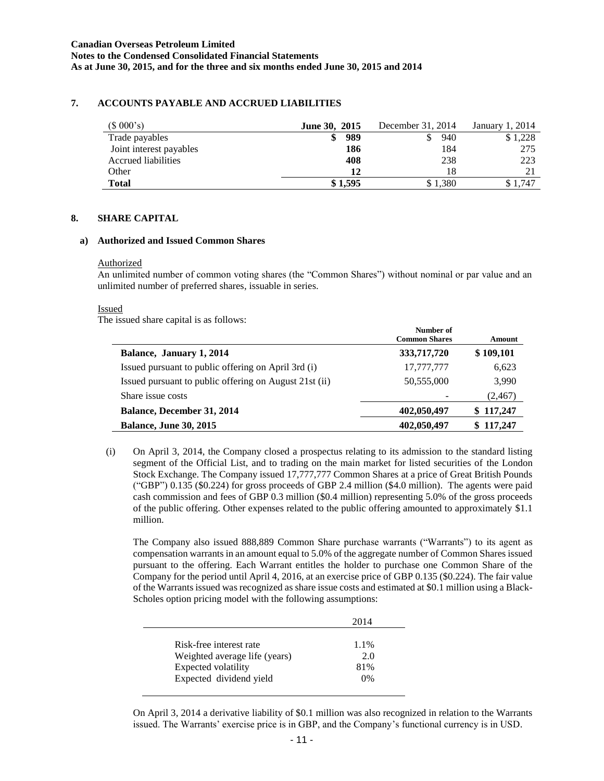## **7. ACCOUNTS PAYABLE AND ACCRUED LIABILITIES**

| (\$000's)               | <b>June 30, 2015</b> | December 31, 2014 | . 2014<br>January 1. |
|-------------------------|----------------------|-------------------|----------------------|
| Trade payables          | 989                  | 940               | \$1,228              |
| Joint interest payables | 186                  | l 84              | 275                  |
| Accrued liabilities     | 408                  | 238               | 223                  |
| Other                   | 12                   | 18                | 21                   |
| <b>Total</b>            | \$1,595              | \$1,380           | \$1.747              |

#### **8. SHARE CAPITAL**

#### **a) Authorized and Issued Common Shares**

#### Authorized

An unlimited number of common voting shares (the "Common Shares") without nominal or par value and an unlimited number of preferred shares, issuable in series.

#### Issued

The issued share capital is as follows:

|                                                        | Number of<br><b>Common Shares</b> | Amount    |
|--------------------------------------------------------|-----------------------------------|-----------|
| Balance, January 1, 2014                               | 333,717,720                       | \$109,101 |
| Issued pursuant to public offering on April 3rd (i)    | 17,777,777                        | 6,623     |
| Issued pursuant to public offering on August 21st (ii) | 50,555,000                        | 3,990     |
| Share issue costs                                      |                                   | (2, 467)  |
| <b>Balance, December 31, 2014</b>                      | 402,050,497                       | \$117,247 |
| <b>Balance, June 30, 2015</b>                          | 402,050,497                       | \$117,247 |

(i) On April 3, 2014, the Company closed a prospectus relating to its admission to the standard listing segment of the Official List, and to trading on the main market for listed securities of the London Stock Exchange. The Company issued 17,777,777 Common Shares at a price of Great British Pounds ("GBP") 0.135 (\$0.224) for gross proceeds of GBP 2.4 million (\$4.0 million). The agents were paid cash commission and fees of GBP 0.3 million (\$0.4 million) representing 5.0% of the gross proceeds of the public offering. Other expenses related to the public offering amounted to approximately \$1.1 million.

The Company also issued 888,889 Common Share purchase warrants ("Warrants") to its agent as compensation warrants in an amount equal to 5.0% of the aggregate number of Common Shares issued pursuant to the offering. Each Warrant entitles the holder to purchase one Common Share of the Company for the period until April 4, 2016, at an exercise price of GBP 0.135 (\$0.224). The fair value of the Warrants issued was recognized as share issue costs and estimated at \$0.1 million using a Black-Scholes option pricing model with the following assumptions:

|                               | 2014    |
|-------------------------------|---------|
| Risk-free interest rate       | $1.1\%$ |
| Weighted average life (years) | 2.0     |
| Expected volatility           | 81%     |
| Expected dividend yield       | 0%      |

On April 3, 2014 a derivative liability of \$0.1 million was also recognized in relation to the Warrants issued. The Warrants' exercise price is in GBP, and the Company's functional currency is in USD.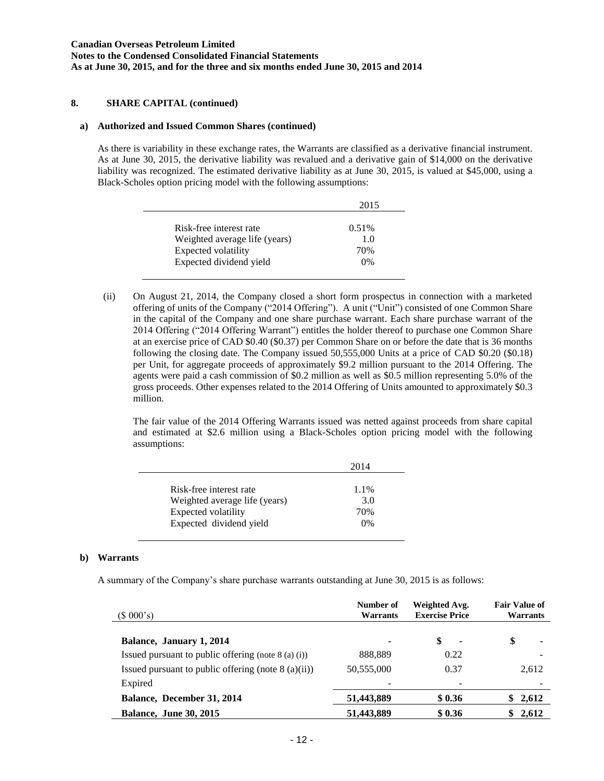### **8. SHARE CAPITAL (continued)**

#### **a) Authorized and Issued Common Shares (continued)**

As there is variability in these exchange rates, the Warrants are classified as a derivative financial instrument. As at June 30, 2015, the derivative liability was revalued and a derivative gain of \$14,000 on the derivative liability was recognized. The estimated derivative liability as at June 30, 2015, is valued at \$45,000, using a Black-Scholes option pricing model with the following assumptions:

|                               | 2015  |
|-------------------------------|-------|
| Risk-free interest rate       | 0.51% |
| Weighted average life (years) | 1.0   |
| Expected volatility           | 70%   |
| Expected dividend yield       | 0%    |

(ii) On August 21, 2014, the Company closed a short form prospectus in connection with a marketed offering of units of the Company ("2014 Offering"). A unit ("Unit") consisted of one Common Share in the capital of the Company and one share purchase warrant. Each share purchase warrant of the 2014 Offering ("2014 Offering Warrant") entitles the holder thereof to purchase one Common Share at an exercise price of CAD \$0.40 (\$0.37) per Common Share on or before the date that is 36 months following the closing date. The Company issued 50,555,000 Units at a price of CAD \$0.20 (\$0.18) per Unit, for aggregate proceeds of approximately \$9.2 million pursuant to the 2014 Offering. The agents were paid a cash commission of \$0.2 million as well as \$0.5 million representing 5.0% of the gross proceeds. Other expenses related to the 2014 Offering of Units amounted to approximately \$0.3 million.

The fair value of the 2014 Offering Warrants issued was netted against proceeds from share capital and estimated at \$2.6 million using a Black-Scholes option pricing model with the following assumptions:

| 2014  |
|-------|
|       |
| 1.1%  |
| 3.0   |
| 70%   |
| $0\%$ |
|       |

### **b) Warrants**

A summary of the Company's share purchase warrants outstanding at June 30, 2015 is as follows:

| (\$000's)                                             | Number of<br>Warrants | Weighted Avg.<br><b>Exercise Price</b> | <b>Fair Value of</b><br><b>Warrants</b> |
|-------------------------------------------------------|-----------------------|----------------------------------------|-----------------------------------------|
| Balance, January 1, 2014                              | ۰                     | \$<br>٠                                | \$<br>۰                                 |
| Issued pursuant to public offering (note $8$ (a) (i)) | 888,889               | 0.22                                   |                                         |
| Issued pursuant to public offering (note $8$ (a)(ii)) | 50,555,000            | 0.37                                   | 2,612                                   |
| Expired                                               |                       |                                        |                                         |
| Balance, December 31, 2014                            | 51,443,889            | \$0.36                                 | \$2,612                                 |
| <b>Balance, June 30, 2015</b>                         | 51,443,889            | \$0.36                                 | 2,612<br>\$                             |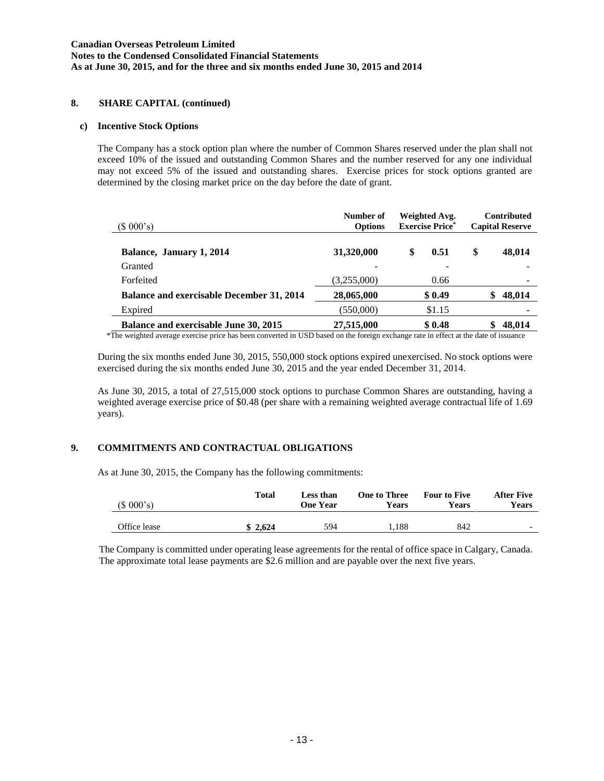### **8. SHARE CAPITAL (continued)**

#### **c) Incentive Stock Options**

The Company has a stock option plan where the number of Common Shares reserved under the plan shall not exceed 10% of the issued and outstanding Common Shares and the number reserved for any one individual may not exceed 5% of the issued and outstanding shares. Exercise prices for stock options granted are determined by the closing market price on the day before the date of grant.

| (\$000's)                                        | Number of<br><b>Options</b> | Weighted Avg.<br><b>Exercise Price*</b> | <b>Contributed</b><br><b>Capital Reserve</b> |
|--------------------------------------------------|-----------------------------|-----------------------------------------|----------------------------------------------|
| Balance, January 1, 2014                         | 31,320,000                  | \$<br>0.51                              | \$<br>48,014                                 |
| Granted                                          |                             |                                         |                                              |
| Forfeited                                        | (3,255,000)                 | 0.66                                    |                                              |
| <b>Balance and exercisable December 31, 2014</b> | 28,065,000                  | \$0.49                                  | 48,014<br>S                                  |
| Expired                                          | (550,000)                   | \$1.15                                  |                                              |
| <b>Balance and exercisable June 30, 2015</b>     | 27,515,000                  | \$0.48                                  | 48,014                                       |

\*The weighted average exercise price has been converted in USD based on the foreign exchange rate in effect at the date of issuance

During the six months ended June 30, 2015, 550,000 stock options expired unexercised. No stock options were exercised during the six months ended June 30, 2015 and the year ended December 31, 2014.

As June 30, 2015, a total of 27,515,000 stock options to purchase Common Shares are outstanding, having a weighted average exercise price of \$0.48 (per share with a remaining weighted average contractual life of 1.69 years).

# **9. COMMITMENTS AND CONTRACTUAL OBLIGATIONS**

As at June 30, 2015, the Company has the following commitments:

| (\$000's)    | Total   | Less than<br>One Year | <b>One to Three</b><br>Years | <b>Four to Five</b><br>Years | <b>After Five</b><br>Years |
|--------------|---------|-----------------------|------------------------------|------------------------------|----------------------------|
| Office lease | \$2,624 | 594                   | .188                         | 842                          | $\overline{\phantom{0}}$   |

The Company is committed under operating lease agreements for the rental of office space in Calgary, Canada. The approximate total lease payments are \$2.6 million and are payable over the next five years.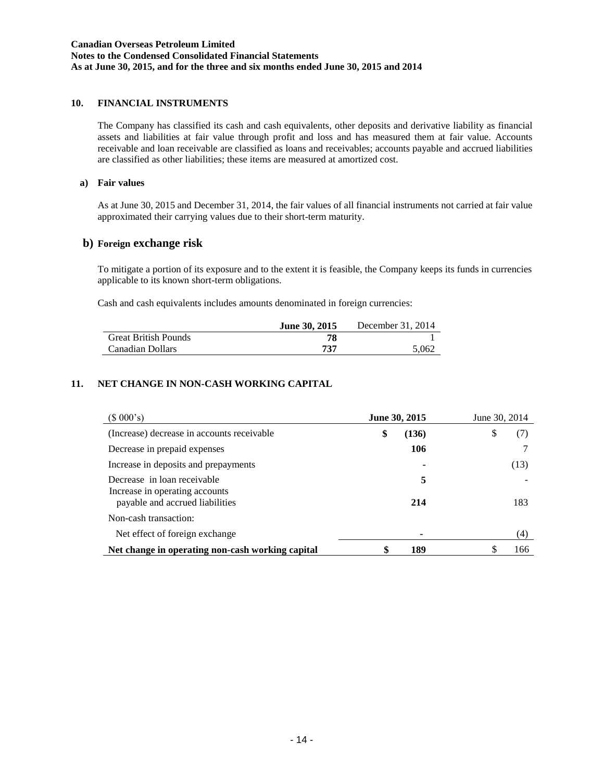# **10. FINANCIAL INSTRUMENTS**

The Company has classified its cash and cash equivalents, other deposits and derivative liability as financial assets and liabilities at fair value through profit and loss and has measured them at fair value. Accounts receivable and loan receivable are classified as loans and receivables; accounts payable and accrued liabilities are classified as other liabilities; these items are measured at amortized cost.

#### **a) Fair values**

As at June 30, 2015 and December 31, 2014, the fair values of all financial instruments not carried at fair value approximated their carrying values due to their short-term maturity.

### **b) Foreign exchange risk**

To mitigate a portion of its exposure and to the extent it is feasible, the Company keeps its funds in currencies applicable to its known short-term obligations.

Cash and cash equivalents includes amounts denominated in foreign currencies:

|                             | <b>June 30, 2015</b> | December 31, 2014 |
|-----------------------------|----------------------|-------------------|
| <b>Great British Pounds</b> | 78                   |                   |
| Canadian Dollars            | 737                  | 5.062             |

# **11. NET CHANGE IN NON-CASH WORKING CAPITAL**

| $(S\ 000's)$                                                                                     | June 30, 2015 | June 30, 2014 |
|--------------------------------------------------------------------------------------------------|---------------|---------------|
| (Increase) decrease in accounts receivable                                                       | \$<br>(136)   | \$<br>(7)     |
| Decrease in prepaid expenses                                                                     | 106           |               |
| Increase in deposits and prepayments                                                             |               | (13)          |
| Decrease in loan receivable<br>Increase in operating accounts<br>payable and accrued liabilities | 5<br>214      | 183           |
| Non-cash transaction:                                                                            |               |               |
| Net effect of foreign exchange.                                                                  | ۰             | (4)           |
| Net change in operating non-cash working capital                                                 | 189           | \$<br>166     |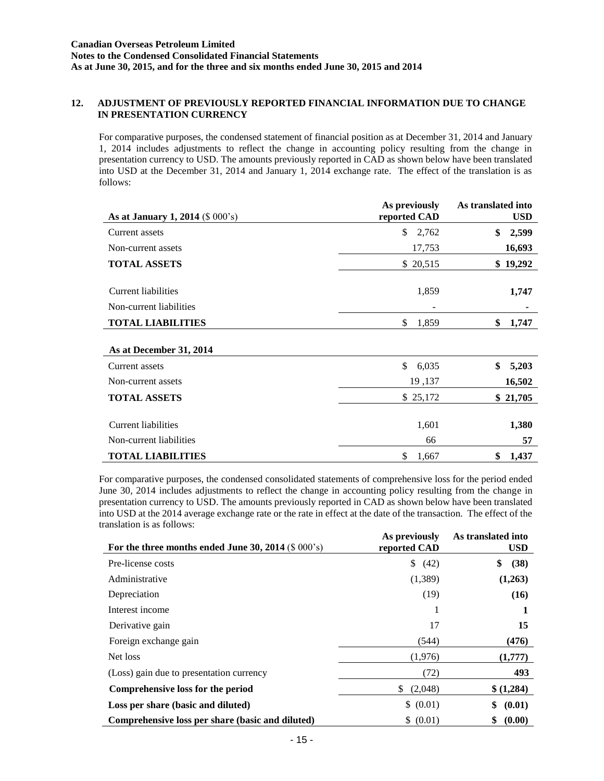### **12. ADJUSTMENT OF PREVIOUSLY REPORTED FINANCIAL INFORMATION DUE TO CHANGE IN PRESENTATION CURRENCY**

For comparative purposes, the condensed statement of financial position as at December 31, 2014 and January 1, 2014 includes adjustments to reflect the change in accounting policy resulting from the change in presentation currency to USD. The amounts previously reported in CAD as shown below have been translated into USD at the December 31, 2014 and January 1, 2014 exchange rate. The effect of the translation is as follows:

| As at January 1, 2014 (\$ 000's)                      | As previously<br>reported CAD | As translated into<br><b>USD</b> |
|-------------------------------------------------------|-------------------------------|----------------------------------|
| Current assets                                        | \$<br>2,762                   | \$<br>2,599                      |
| Non-current assets                                    | 17,753                        | 16,693                           |
| <b>TOTAL ASSETS</b>                                   | \$ 20,515                     | \$19,292                         |
| <b>Current liabilities</b><br>Non-current liabilities | 1,859                         | 1,747<br>٠                       |
| <b>TOTAL LIABILITIES</b>                              | \$<br>1,859                   | \$<br>1,747                      |
| As at December 31, 2014                               |                               |                                  |
| Current assets                                        | \$<br>6,035                   | \$<br>5,203                      |
| Non-current assets                                    | 19,137                        | 16,502                           |
| <b>TOTAL ASSETS</b>                                   | \$25,172                      | \$21,705                         |
| <b>Current liabilities</b><br>Non-current liabilities | 1,601<br>66                   | 1,380<br>57                      |
| <b>TOTAL LIABILITIES</b>                              | \$<br>1,667                   | \$<br>1,437                      |

For comparative purposes, the condensed consolidated statements of comprehensive loss for the period ended June 30, 2014 includes adjustments to reflect the change in accounting policy resulting from the change in presentation currency to USD. The amounts previously reported in CAD as shown below have been translated into USD at the 2014 average exchange rate or the rate in effect at the date of the transaction. The effect of the translation is as follows: **As translated into** 

| For the three months ended June 30, 2014 $(\$ 000's)$ | As previously<br>reported CAD | As translated into<br><b>USD</b> |
|-------------------------------------------------------|-------------------------------|----------------------------------|
| Pre-license costs                                     | \$<br>(42)                    | \$<br>(38)                       |
| Administrative                                        | (1,389)                       | (1,263)                          |
| Depreciation                                          | (19)                          | (16)                             |
| Interest income                                       | 1                             |                                  |
| Derivative gain                                       | 17                            | 15                               |
| Foreign exchange gain                                 | (544)                         | (476)                            |
| Net loss                                              | (1,976)                       | (1,777)                          |
| (Loss) gain due to presentation currency              | (72)                          | 493                              |
| Comprehensive loss for the period                     | \$<br>(2,048)                 | \$(1,284)                        |
| Loss per share (basic and diluted)                    | \$ (0.01)                     | \$<br>(0.01)                     |
| Comprehensive loss per share (basic and diluted)      | \$ (0.01)                     | (0.00)                           |